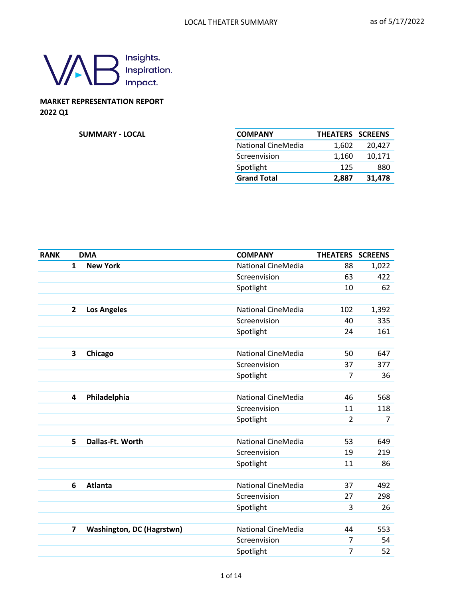

# **MARKET REPRESENTATION REPORT 2022 Q1**

| <b>SUMMARY - LOCAL</b> |  |
|------------------------|--|
|------------------------|--|

| SUMMARY - LOCAL | <b>COMPANY</b>     | <b>THEATERS SCREENS</b> |        |
|-----------------|--------------------|-------------------------|--------|
|                 | National CineMedia | 1.602                   | 20,427 |
|                 | Screenvision       | 1,160                   | 10,171 |
|                 | Spotlight          | 125                     | 880    |
|                 | <b>Grand Total</b> | 2.887                   | 31,478 |
|                 |                    |                         |        |

| <b>RANK</b> |                         | <b>DMA</b>                       | <b>COMPANY</b>            | <b>THEATERS</b> | <b>SCREENS</b> |
|-------------|-------------------------|----------------------------------|---------------------------|-----------------|----------------|
|             | $\mathbf{1}$            | <b>New York</b>                  | <b>National CineMedia</b> | 88              | 1,022          |
|             |                         |                                  | Screenvision              | 63              | 422            |
|             |                         |                                  | Spotlight                 | 10              | 62             |
|             |                         |                                  |                           |                 |                |
|             | $\overline{2}$          | <b>Los Angeles</b>               | <b>National CineMedia</b> | 102             | 1,392          |
|             |                         |                                  | Screenvision              | 40              | 335            |
|             |                         |                                  | Spotlight                 | 24              | 161            |
|             |                         |                                  |                           |                 |                |
|             | $\overline{\mathbf{3}}$ | Chicago                          | <b>National CineMedia</b> | 50              | 647            |
|             |                         |                                  | Screenvision              | 37              | 377            |
|             |                         |                                  | Spotlight                 | $\overline{7}$  | 36             |
|             |                         |                                  |                           |                 |                |
|             | 4                       | Philadelphia                     | <b>National CineMedia</b> | 46              | 568            |
|             |                         |                                  | Screenvision              | 11              | 118            |
|             |                         |                                  | Spotlight                 | $\overline{2}$  | $\overline{7}$ |
|             |                         |                                  |                           |                 |                |
|             | 5                       | Dallas-Ft. Worth                 | <b>National CineMedia</b> | 53              | 649            |
|             |                         |                                  | Screenvision              | 19              | 219            |
|             |                         |                                  | Spotlight                 | 11              | 86             |
|             |                         |                                  |                           |                 |                |
|             | 6                       | <b>Atlanta</b>                   | <b>National CineMedia</b> | 37              | 492            |
|             |                         |                                  | Screenvision              | 27              | 298            |
|             |                         |                                  | Spotlight                 | 3               | 26             |
|             |                         |                                  |                           |                 |                |
|             | $\overline{7}$          | <b>Washington, DC (Hagrstwn)</b> | <b>National CineMedia</b> | 44              | 553            |
|             |                         |                                  | Screenvision              | $\overline{7}$  | 54             |
|             |                         |                                  | Spotlight                 | 7               | 52             |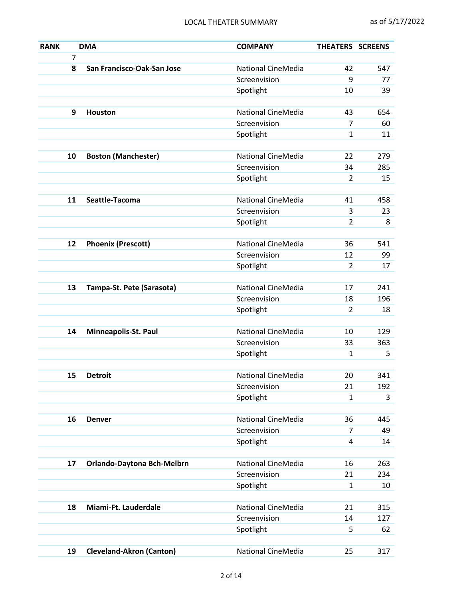| <b>RANK</b>    | <b>DMA</b>                      | <b>COMPANY</b>            | THEATERS SCREENS |     |
|----------------|---------------------------------|---------------------------|------------------|-----|
| $\overline{7}$ |                                 |                           |                  |     |
| 8              | San Francisco-Oak-San Jose      | <b>National CineMedia</b> | 42               | 547 |
|                |                                 | Screenvision              | 9                | 77  |
|                |                                 | Spotlight                 | 10               | 39  |
|                |                                 |                           |                  |     |
| 9              | Houston                         | <b>National CineMedia</b> | 43               | 654 |
|                |                                 | Screenvision              | 7                | 60  |
|                |                                 | Spotlight                 | 1                | 11  |
|                |                                 |                           |                  |     |
| 10             | <b>Boston (Manchester)</b>      | <b>National CineMedia</b> | 22               | 279 |
|                |                                 | Screenvision              | 34               | 285 |
|                |                                 | Spotlight                 | $\overline{2}$   | 15  |
|                |                                 |                           |                  |     |
| 11             | Seattle-Tacoma                  | National CineMedia        | 41               | 458 |
|                |                                 | Screenvision              | 3                | 23  |
|                |                                 | Spotlight                 | 2                | 8   |
|                |                                 |                           |                  |     |
| 12             | <b>Phoenix (Prescott)</b>       | <b>National CineMedia</b> | 36               | 541 |
|                |                                 | Screenvision              | 12               | 99  |
|                |                                 | Spotlight                 | $\overline{2}$   | 17  |
|                |                                 |                           |                  |     |
| 13             | Tampa-St. Pete (Sarasota)       | <b>National CineMedia</b> | 17               | 241 |
|                |                                 | Screenvision              | 18               | 196 |
|                |                                 | Spotlight                 | $\overline{2}$   | 18  |
|                |                                 |                           |                  |     |
| 14             | Minneapolis-St. Paul            | <b>National CineMedia</b> | 10               | 129 |
|                |                                 | Screenvision              | 33               | 363 |
|                |                                 | Spotlight                 | 1                | 5   |
|                |                                 |                           |                  |     |
| 15             | <b>Detroit</b>                  | <b>National CineMedia</b> | 20               | 341 |
|                |                                 | Screenvision              | 21               | 192 |
|                |                                 | Spotlight                 | 1                | 3   |
| 16             | <b>Denver</b>                   | National CineMedia        | 36               | 445 |
|                |                                 | Screenvision              | 7                | 49  |
|                |                                 | Spotlight                 | 4                | 14  |
|                |                                 |                           |                  |     |
| 17             | Orlando-Daytona Bch-Melbrn      | National CineMedia        | 16               | 263 |
|                |                                 | Screenvision              | 21               | 234 |
|                |                                 | Spotlight                 | $\mathbf{1}$     | 10  |
|                |                                 |                           |                  |     |
| 18             | Miami-Ft. Lauderdale            | <b>National CineMedia</b> | 21               | 315 |
|                |                                 | Screenvision              | 14               | 127 |
|                |                                 | Spotlight                 | 5                | 62  |
|                |                                 |                           |                  |     |
| 19             | <b>Cleveland-Akron (Canton)</b> | National CineMedia        | 25               | 317 |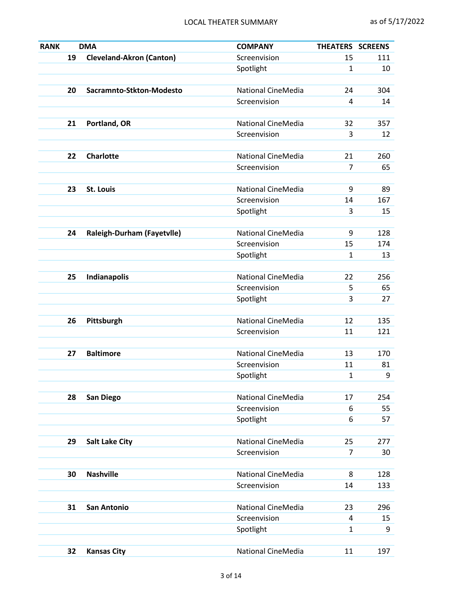| <b>RANK</b> |    | <b>DMA</b>                        | <b>COMPANY</b>            | THEATERS SCREENS |     |
|-------------|----|-----------------------------------|---------------------------|------------------|-----|
|             | 19 | <b>Cleveland-Akron (Canton)</b>   | Screenvision              | 15               | 111 |
|             |    |                                   | Spotlight                 | $\mathbf{1}$     | 10  |
|             |    |                                   |                           |                  |     |
|             | 20 | Sacramnto-Stkton-Modesto          | <b>National CineMedia</b> | 24               | 304 |
|             |    |                                   | Screenvision              | 4                | 14  |
|             |    |                                   |                           |                  |     |
|             | 21 | Portland, OR                      | <b>National CineMedia</b> | 32               | 357 |
|             |    |                                   | Screenvision              | 3                | 12  |
|             |    |                                   |                           |                  |     |
|             | 22 | <b>Charlotte</b>                  | National CineMedia        | 21               | 260 |
|             |    |                                   | Screenvision              | $\overline{7}$   | 65  |
|             |    |                                   |                           |                  |     |
|             | 23 | <b>St. Louis</b>                  | <b>National CineMedia</b> | 9                | 89  |
|             |    |                                   | Screenvision              | 14               | 167 |
|             |    |                                   | Spotlight                 | 3                | 15  |
|             |    |                                   |                           |                  |     |
|             | 24 | <b>Raleigh-Durham (Fayetvlle)</b> | <b>National CineMedia</b> | 9                | 128 |
|             |    |                                   | Screenvision              | 15               | 174 |
|             |    |                                   | Spotlight                 | 1                | 13  |
|             | 25 | Indianapolis                      | <b>National CineMedia</b> | 22               | 256 |
|             |    |                                   | Screenvision              | 5                | 65  |
|             |    |                                   | Spotlight                 | 3                | 27  |
|             |    |                                   |                           |                  |     |
|             | 26 | Pittsburgh                        | <b>National CineMedia</b> | 12               | 135 |
|             |    |                                   | Screenvision              | 11               | 121 |
|             |    |                                   |                           |                  |     |
|             | 27 | <b>Baltimore</b>                  | <b>National CineMedia</b> | 13               | 170 |
|             |    |                                   | Screenvision              | 11               | 81  |
|             |    |                                   | Spotlight                 | 1                | 9   |
|             |    |                                   |                           |                  |     |
|             | 28 | <b>San Diego</b>                  | <b>National CineMedia</b> | 17               | 254 |
|             |    |                                   | Screenvision              | 6                | 55  |
|             |    |                                   | Spotlight                 | 6                | 57  |
|             |    |                                   |                           |                  |     |
|             | 29 | <b>Salt Lake City</b>             | <b>National CineMedia</b> | 25               | 277 |
|             |    |                                   | Screenvision              | 7                | 30  |
|             |    |                                   |                           |                  |     |
|             | 30 | <b>Nashville</b>                  | <b>National CineMedia</b> | 8                | 128 |
|             |    |                                   | Screenvision              | 14               | 133 |
|             |    |                                   |                           |                  |     |
|             | 31 | <b>San Antonio</b>                | <b>National CineMedia</b> | 23               | 296 |
|             |    |                                   | Screenvision              | 4                | 15  |
|             |    |                                   | Spotlight                 | 1                | 9   |
|             |    |                                   |                           |                  |     |
|             | 32 | <b>Kansas City</b>                | National CineMedia        | 11               | 197 |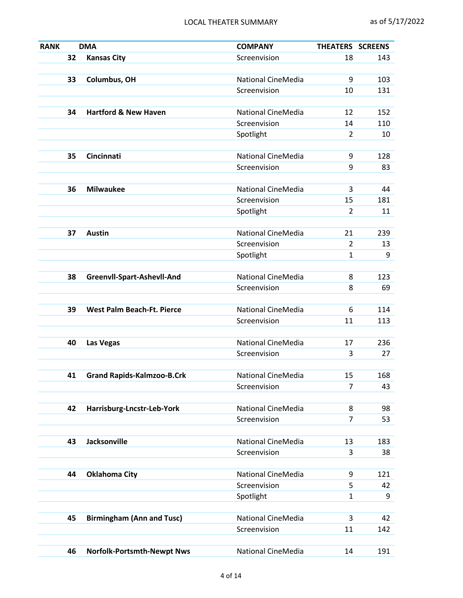| <b>RANK</b> |    | <b>DMA</b>                        | <b>COMPANY</b>            | THEATERS SCREENS |     |
|-------------|----|-----------------------------------|---------------------------|------------------|-----|
|             | 32 | <b>Kansas City</b>                | Screenvision              | 18               | 143 |
|             |    |                                   |                           |                  |     |
|             | 33 | Columbus, OH                      | National CineMedia        | 9                | 103 |
|             |    |                                   | Screenvision              | 10               | 131 |
|             |    |                                   |                           |                  |     |
|             | 34 | <b>Hartford &amp; New Haven</b>   | <b>National CineMedia</b> | 12               | 152 |
|             |    |                                   | Screenvision              | 14               | 110 |
|             |    |                                   | Spotlight                 | $\overline{2}$   | 10  |
|             |    |                                   |                           |                  |     |
|             | 35 | Cincinnati                        | <b>National CineMedia</b> | 9                | 128 |
|             |    |                                   | Screenvision              | 9                | 83  |
|             |    |                                   |                           |                  |     |
|             | 36 | <b>Milwaukee</b>                  | <b>National CineMedia</b> | 3                | 44  |
|             |    |                                   | Screenvision              | 15               | 181 |
|             |    |                                   | Spotlight                 | 2                | 11  |
|             |    |                                   |                           |                  |     |
|             | 37 | <b>Austin</b>                     | <b>National CineMedia</b> | 21               | 239 |
|             |    |                                   | Screenvision              | $\overline{2}$   | 13  |
|             |    |                                   | Spotlight                 | 1                | 9   |
|             |    |                                   |                           |                  |     |
|             | 38 | Greenvll-Spart-Ashevll-And        | <b>National CineMedia</b> | 8                | 123 |
|             |    |                                   | Screenvision              | 8                | 69  |
|             |    |                                   |                           |                  |     |
|             | 39 | <b>West Palm Beach-Ft. Pierce</b> | National CineMedia        | 6                | 114 |
|             |    |                                   | Screenvision              | 11               | 113 |
|             | 40 |                                   | <b>National CineMedia</b> | 17               | 236 |
|             |    | <b>Las Vegas</b>                  | Screenvision              | 3                | 27  |
|             |    |                                   |                           |                  |     |
|             | 41 | <b>Grand Rapids-Kalmzoo-B.Crk</b> | National CineMedia        | 15               | 168 |
|             |    |                                   | Screenvision              | $\overline{7}$   | 43  |
|             |    |                                   |                           |                  |     |
|             | 42 | Harrisburg-Lncstr-Leb-York        | National CineMedia        | 8                | 98  |
|             |    |                                   | Screenvision              | $\overline{7}$   | 53  |
|             |    |                                   |                           |                  |     |
|             | 43 | <b>Jacksonville</b>               | National CineMedia        | 13               | 183 |
|             |    |                                   | Screenvision              | 3                | 38  |
|             |    |                                   |                           |                  |     |
|             | 44 | <b>Oklahoma City</b>              | National CineMedia        | 9                | 121 |
|             |    |                                   | Screenvision              | 5                | 42  |
|             |    |                                   | Spotlight                 | 1                | 9   |
|             |    |                                   |                           |                  |     |
|             | 45 | <b>Birmingham (Ann and Tusc)</b>  | National CineMedia        | 3                | 42  |
|             |    |                                   | Screenvision              | 11               | 142 |
|             |    |                                   |                           |                  |     |
|             | 46 | <b>Norfolk-Portsmth-Newpt Nws</b> | National CineMedia        | 14               | 191 |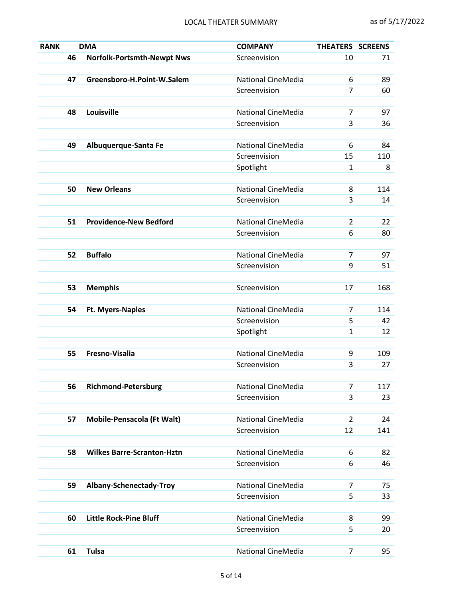| <b>RANK</b> |    | <b>DMA</b>                        | <b>COMPANY</b>            | THEATERS SCREENS    |          |
|-------------|----|-----------------------------------|---------------------------|---------------------|----------|
|             | 46 | <b>Norfolk-Portsmth-Newpt Nws</b> | Screenvision              | 10                  | 71       |
|             |    |                                   |                           |                     |          |
|             | 47 | Greensboro-H.Point-W.Salem        | <b>National CineMedia</b> | 6                   | 89       |
|             |    |                                   | Screenvision              | $\overline{7}$      | 60       |
|             |    |                                   |                           |                     |          |
|             | 48 | Louisville                        | National CineMedia        | 7                   | 97       |
|             |    |                                   | Screenvision              | 3                   | 36       |
|             |    |                                   |                           |                     |          |
|             | 49 | Albuquerque-Santa Fe              | <b>National CineMedia</b> | 6                   | 84       |
|             |    |                                   | Screenvision              | 15                  | 110      |
|             |    |                                   | Spotlight                 | 1                   | 8        |
|             |    |                                   |                           |                     |          |
|             | 50 | <b>New Orleans</b>                | <b>National CineMedia</b> | 8                   | 114      |
|             |    |                                   | Screenvision              | 3                   | 14       |
|             |    |                                   |                           |                     |          |
|             | 51 | <b>Providence-New Bedford</b>     | <b>National CineMedia</b> | $\overline{2}$      | 22       |
|             |    |                                   | Screenvision              | 6                   | 80       |
|             |    |                                   | <b>National CineMedia</b> |                     |          |
|             | 52 | <b>Buffalo</b>                    | Screenvision              | $\overline{7}$<br>9 | 97<br>51 |
|             |    |                                   |                           |                     |          |
|             | 53 | <b>Memphis</b>                    | Screenvision              | 17                  | 168      |
|             |    |                                   |                           |                     |          |
|             | 54 | <b>Ft. Myers-Naples</b>           | National CineMedia        | 7                   | 114      |
|             |    |                                   | Screenvision              | 5                   | 42       |
|             |    |                                   | Spotlight                 | $\mathbf{1}$        | 12       |
|             |    |                                   |                           |                     |          |
|             | 55 | Fresno-Visalia                    | <b>National CineMedia</b> | 9                   | 109      |
|             |    |                                   | Screenvision              | 3                   | 27       |
|             |    |                                   |                           |                     |          |
|             | 56 | <b>Richmond-Petersburg</b>        | National CineMedia        | $\overline{7}$      | 117      |
|             |    |                                   | Screenvision              | 3                   | 23       |
|             |    |                                   |                           |                     |          |
|             | 57 | <b>Mobile-Pensacola (Ft Walt)</b> | National CineMedia        | $\overline{2}$      | 24       |
|             |    |                                   | Screenvision              | 12                  | 141      |
|             |    |                                   |                           |                     |          |
|             | 58 | <b>Wilkes Barre-Scranton-Hztn</b> | National CineMedia        | 6                   | 82       |
|             |    |                                   | Screenvision              | 6                   | 46       |
|             |    |                                   |                           |                     |          |
|             | 59 | Albany-Schenectady-Troy           | National CineMedia        | 7                   | 75       |
|             |    |                                   | Screenvision              | 5                   | 33       |
|             |    |                                   |                           |                     |          |
|             | 60 | <b>Little Rock-Pine Bluff</b>     | National CineMedia        | 8                   | 99       |
|             |    |                                   | Screenvision              | 5                   | 20       |
|             |    |                                   |                           |                     |          |
|             | 61 | <b>Tulsa</b>                      | National CineMedia        | $\overline{7}$      | 95       |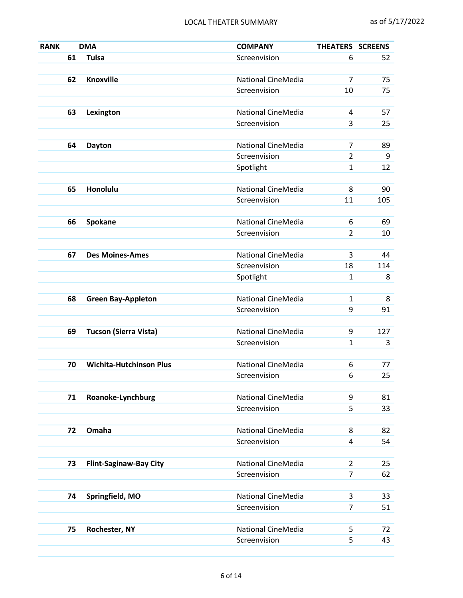| <b>RANK</b> |    | <b>DMA</b>                     | <b>COMPANY</b>                            | THEATERS SCREENS               |          |
|-------------|----|--------------------------------|-------------------------------------------|--------------------------------|----------|
|             | 61 | <b>Tulsa</b>                   | Screenvision                              | 6                              | 52       |
|             |    |                                |                                           |                                |          |
|             | 62 | <b>Knoxville</b>               | <b>National CineMedia</b>                 | $\overline{7}$                 | 75       |
|             |    |                                | Screenvision                              | 10                             | 75       |
|             |    |                                |                                           |                                |          |
|             | 63 | Lexington                      | <b>National CineMedia</b>                 | 4                              | 57       |
|             |    |                                | Screenvision                              | 3                              | 25       |
|             |    |                                |                                           |                                |          |
|             | 64 | <b>Dayton</b>                  | National CineMedia                        | 7                              | 89       |
|             |    |                                | Screenvision                              | $\overline{2}$<br>$\mathbf{1}$ | 9        |
|             |    |                                | Spotlight                                 |                                | 12       |
|             | 65 | Honolulu                       | <b>National CineMedia</b>                 | 8                              | 90       |
|             |    |                                | Screenvision                              | 11                             | 105      |
|             |    |                                |                                           |                                |          |
|             | 66 | Spokane                        | National CineMedia                        | 6                              | 69       |
|             |    |                                | Screenvision                              | $\overline{2}$                 | 10       |
|             |    |                                |                                           |                                |          |
|             | 67 | <b>Des Moines-Ames</b>         | National CineMedia                        | 3                              | 44       |
|             |    |                                | Screenvision                              | 18                             | 114      |
|             |    |                                | Spotlight                                 | 1                              | 8        |
|             |    |                                |                                           |                                |          |
|             | 68 | <b>Green Bay-Appleton</b>      | National CineMedia                        | 1                              | 8        |
|             |    |                                | Screenvision                              | 9                              | 91       |
|             |    |                                |                                           |                                |          |
|             | 69 | <b>Tucson (Sierra Vista)</b>   | <b>National CineMedia</b>                 | 9                              | 127      |
|             |    |                                | Screenvision                              | 1                              | 3        |
|             |    |                                |                                           |                                |          |
|             | 70 | <b>Wichita-Hutchinson Plus</b> | National CineMedia                        | 6                              | 77       |
|             |    |                                | Screenvision                              | 6                              | 25       |
|             |    |                                |                                           |                                |          |
|             | 71 | Roanoke-Lynchburg              | <b>National CineMedia</b><br>Screenvision | 9<br>5                         | 81<br>33 |
|             |    |                                |                                           |                                |          |
|             | 72 | Omaha                          | National CineMedia                        | 8                              | 82       |
|             |    |                                | Screenvision                              | 4                              | 54       |
|             |    |                                |                                           |                                |          |
|             | 73 | <b>Flint-Saginaw-Bay City</b>  | National CineMedia                        | $\overline{2}$                 | 25       |
|             |    |                                | Screenvision                              | $\overline{7}$                 | 62       |
|             |    |                                |                                           |                                |          |
|             | 74 | Springfield, MO                | National CineMedia                        | 3                              | 33       |
|             |    |                                | Screenvision                              | 7                              | 51       |
|             |    |                                |                                           |                                |          |
|             | 75 | Rochester, NY                  | National CineMedia                        | 5                              | 72       |
|             |    |                                | Screenvision                              | 5                              | 43       |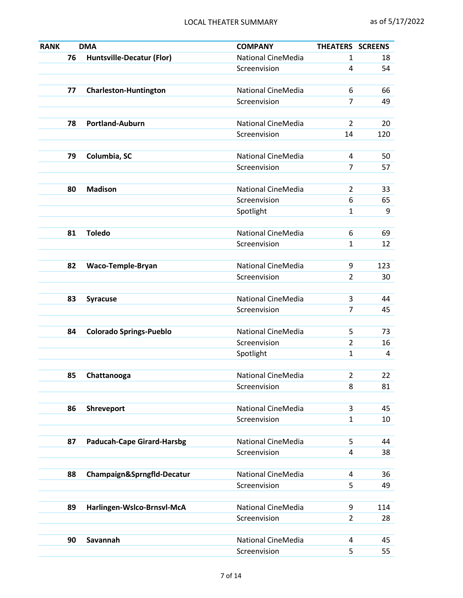| <b>RANK</b> |    | <b>DMA</b>                        | <b>COMPANY</b>            | THEATERS SCREENS |     |
|-------------|----|-----------------------------------|---------------------------|------------------|-----|
|             | 76 | <b>Huntsville-Decatur (Flor)</b>  | National CineMedia        | 1                | 18  |
|             |    |                                   | Screenvision              | 4                | 54  |
|             |    |                                   |                           |                  |     |
|             | 77 | <b>Charleston-Huntington</b>      | National CineMedia        | 6                | 66  |
|             |    |                                   | Screenvision              | $\overline{7}$   | 49  |
|             |    |                                   |                           |                  |     |
|             | 78 | <b>Portland-Auburn</b>            | National CineMedia        | $\overline{2}$   | 20  |
|             |    |                                   | Screenvision              | 14               | 120 |
|             |    |                                   |                           |                  |     |
|             | 79 | Columbia, SC                      | <b>National CineMedia</b> | 4                | 50  |
|             |    |                                   | Screenvision              | 7                | 57  |
|             |    |                                   |                           |                  |     |
|             | 80 | <b>Madison</b>                    | National CineMedia        | $\overline{2}$   | 33  |
|             |    |                                   | Screenvision              | 6                | 65  |
|             |    |                                   | Spotlight                 | 1                | 9   |
|             |    |                                   |                           |                  |     |
|             | 81 | <b>Toledo</b>                     | <b>National CineMedia</b> | 6                | 69  |
|             |    |                                   | Screenvision              | $\mathbf{1}$     | 12  |
|             |    |                                   |                           |                  |     |
|             | 82 | Waco-Temple-Bryan                 | <b>National CineMedia</b> | 9                | 123 |
|             |    |                                   | Screenvision              | 2                | 30  |
|             |    |                                   |                           |                  |     |
|             | 83 | <b>Syracuse</b>                   | <b>National CineMedia</b> | 3                | 44  |
|             |    |                                   | Screenvision              | 7                | 45  |
|             |    |                                   |                           |                  |     |
|             | 84 | <b>Colorado Springs-Pueblo</b>    | <b>National CineMedia</b> | 5                | 73  |
|             |    |                                   | Screenvision              | $\overline{2}$   | 16  |
|             |    |                                   | Spotlight                 | 1                | 4   |
|             |    |                                   |                           |                  |     |
|             | 85 | Chattanooga                       | National CineMedia        | $\overline{2}$   | 22  |
|             |    |                                   | Screenvision              | 8                | 81  |
|             | 86 |                                   | National CineMedia        | 3                |     |
|             |    | Shreveport                        |                           |                  | 45  |
|             |    |                                   | Screenvision              | $\mathbf{1}$     | 10  |
|             | 87 | <b>Paducah-Cape Girard-Harsbg</b> | National CineMedia        | 5                | 44  |
|             |    |                                   | Screenvision              | 4                | 38  |
|             |    |                                   |                           |                  |     |
|             | 88 | Champaign&Sprngfld-Decatur        | National CineMedia        | 4                | 36  |
|             |    |                                   | Screenvision              | 5                | 49  |
|             |    |                                   |                           |                  |     |
|             | 89 | Harlingen-Wslco-Brnsvl-McA        | National CineMedia        | 9                | 114 |
|             |    |                                   | Screenvision              | $\overline{2}$   | 28  |
|             |    |                                   |                           |                  |     |
|             | 90 | Savannah                          | National CineMedia        | 4                | 45  |
|             |    |                                   | Screenvision              | 5                | 55  |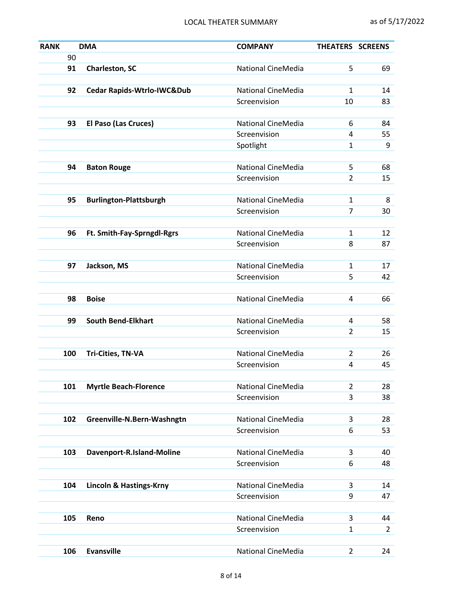| <b>RANK</b> |     | <b>DMA</b>                         | <b>COMPANY</b>            | THEATERS SCREENS |                |
|-------------|-----|------------------------------------|---------------------------|------------------|----------------|
|             | 90  |                                    |                           |                  |                |
|             | 91  | <b>Charleston, SC</b>              | <b>National CineMedia</b> | 5                | 69             |
|             |     |                                    |                           |                  |                |
|             | 92  | Cedar Rapids-Wtrlo-IWC&Dub         | National CineMedia        | $\mathbf{1}$     | 14             |
|             |     |                                    | Screenvision              | 10               | 83             |
|             |     |                                    |                           |                  |                |
|             | 93  | <b>El Paso (Las Cruces)</b>        | National CineMedia        | 6                | 84             |
|             |     |                                    | Screenvision              | 4                | 55             |
|             |     |                                    | Spotlight                 | 1                | 9              |
|             |     |                                    |                           |                  |                |
|             | 94  | <b>Baton Rouge</b>                 | National CineMedia        | 5                | 68             |
|             |     |                                    | Screenvision              | $\overline{2}$   | 15             |
|             |     |                                    |                           |                  |                |
|             | 95  | <b>Burlington-Plattsburgh</b>      | <b>National CineMedia</b> | 1                | 8              |
|             |     |                                    | Screenvision              | 7                | 30             |
|             |     |                                    |                           |                  |                |
|             | 96  | Ft. Smith-Fay-Sprngdl-Rgrs         | <b>National CineMedia</b> | $\mathbf{1}$     | 12             |
|             |     |                                    | Screenvision              | 8                | 87             |
|             |     |                                    | National CineMedia        |                  |                |
|             | 97  | Jackson, MS                        | Screenvision              | 1<br>5           | 17             |
|             |     |                                    |                           |                  | 42             |
|             | 98  | <b>Boise</b>                       | <b>National CineMedia</b> | 4                | 66             |
|             |     |                                    |                           |                  |                |
|             | 99  | <b>South Bend-Elkhart</b>          | National CineMedia        | 4                | 58             |
|             |     |                                    | Screenvision              | 2                | 15             |
|             |     |                                    |                           |                  |                |
|             | 100 | <b>Tri-Cities, TN-VA</b>           | <b>National CineMedia</b> | 2                | 26             |
|             |     |                                    | Screenvision              | 4                | 45             |
|             |     |                                    |                           |                  |                |
|             | 101 | <b>Myrtle Beach-Florence</b>       | National CineMedia        | $\overline{2}$   | 28             |
|             |     |                                    | Screenvision              | 3                | 38             |
|             |     |                                    |                           |                  |                |
|             | 102 | Greenville-N.Bern-Washngtn         | National CineMedia        | 3                | 28             |
|             |     |                                    | Screenvision              | 6                | 53             |
|             |     |                                    |                           |                  |                |
|             | 103 | Davenport-R.Island-Moline          | National CineMedia        | 3                | 40             |
|             |     |                                    | Screenvision              | 6                | 48             |
|             |     |                                    |                           |                  |                |
|             | 104 | <b>Lincoln &amp; Hastings-Krny</b> | National CineMedia        | 3                | 14             |
|             |     |                                    | Screenvision              | 9                | 47             |
|             |     |                                    |                           |                  |                |
|             | 105 | Reno                               | National CineMedia        | 3                | 44             |
|             |     |                                    | Screenvision              | 1                | $\overline{2}$ |
|             |     |                                    |                           |                  |                |
|             | 106 | <b>Evansville</b>                  | National CineMedia        | $\overline{2}$   | 24             |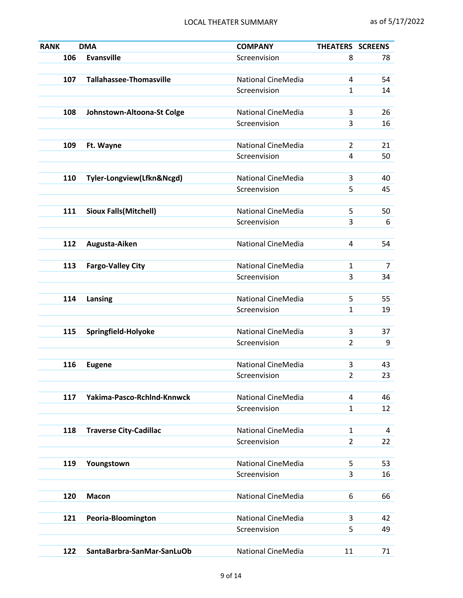| <b>RANK</b> |     | <b>DMA</b>                     | <b>COMPANY</b>                     | THEATERS SCREENS |          |
|-------------|-----|--------------------------------|------------------------------------|------------------|----------|
|             | 106 | <b>Evansville</b>              | Screenvision                       | 8                | 78       |
|             |     |                                |                                    |                  |          |
|             | 107 | <b>Tallahassee-Thomasville</b> | <b>National CineMedia</b>          | 4                | 54       |
|             |     |                                | Screenvision                       | 1                | 14       |
|             |     |                                |                                    |                  |          |
|             | 108 | Johnstown-Altoona-St Colge     | <b>National CineMedia</b>          | 3                | 26       |
|             |     |                                | Screenvision                       | 3                | 16       |
|             |     |                                |                                    |                  |          |
|             | 109 | Ft. Wayne                      | <b>National CineMedia</b>          | $\overline{2}$   | 21       |
|             |     |                                | Screenvision                       | 4                | 50       |
|             |     |                                |                                    |                  |          |
|             | 110 | Tyler-Longview(Lfkn&Ncgd)      | <b>National CineMedia</b>          | 3                | 40       |
|             |     |                                | Screenvision                       | 5                | 45       |
|             | 111 | <b>Sioux Falls(Mitchell)</b>   | <b>National CineMedia</b>          | 5                | 50       |
|             |     |                                | Screenvision                       | 3                | 6        |
|             |     |                                |                                    |                  |          |
|             | 112 | Augusta-Aiken                  | <b>National CineMedia</b>          | 4                | 54       |
|             |     |                                |                                    |                  |          |
|             | 113 | <b>Fargo-Valley City</b>       | <b>National CineMedia</b>          | 1                | 7        |
|             |     |                                | Screenvision                       | 3                | 34       |
|             |     |                                |                                    |                  |          |
|             | 114 | Lansing                        | <b>National CineMedia</b>          | 5                | 55       |
|             |     |                                | Screenvision                       | 1                | 19       |
|             |     |                                |                                    |                  |          |
|             | 115 | Springfield-Holyoke            | <b>National CineMedia</b>          | 3                | 37       |
|             |     |                                | Screenvision                       | $\overline{2}$   | 9        |
|             |     |                                |                                    |                  |          |
|             | 116 | <b>Eugene</b>                  | National CineMedia                 | 3                | 43       |
|             |     |                                | Screenvision                       | 2                | 23       |
|             |     |                                |                                    |                  |          |
|             | 117 | Yakima-Pasco-RchInd-Knnwck     | <b>National CineMedia</b>          | 4                | 46       |
|             |     |                                | Screenvision                       | 1                | 12       |
|             |     |                                |                                    |                  |          |
|             | 118 | <b>Traverse City-Cadillac</b>  | National CineMedia                 | $\mathbf{1}$     | 4        |
|             |     |                                | Screenvision                       | $\overline{2}$   | 22       |
|             |     |                                |                                    |                  |          |
|             | 119 | Youngstown                     | National CineMedia                 | 5                | 53       |
|             |     |                                | Screenvision                       | 3                | 16       |
|             |     |                                |                                    |                  |          |
|             | 120 | <b>Macon</b>                   | National CineMedia                 | 6                | 66       |
|             |     |                                |                                    |                  |          |
|             | 121 | Peoria-Bloomington             | National CineMedia<br>Screenvision | 3<br>5           | 42<br>49 |
|             |     |                                |                                    |                  |          |
|             | 122 | SantaBarbra-SanMar-SanLuOb     | National CineMedia                 | 11               | 71       |
|             |     |                                |                                    |                  |          |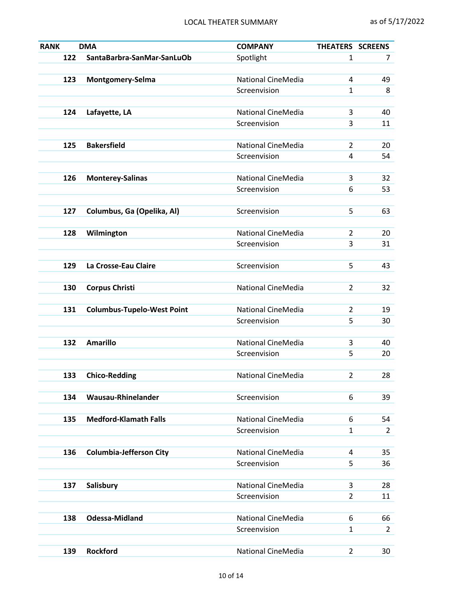| <b>RANK</b> |     | <b>DMA</b>                        | <b>COMPANY</b>            | THEATERS SCREENS |                      |
|-------------|-----|-----------------------------------|---------------------------|------------------|----------------------|
|             | 122 | SantaBarbra-SanMar-SanLuOb        | Spotlight                 | 1                | 7                    |
|             |     |                                   |                           |                  |                      |
|             | 123 | Montgomery-Selma                  | <b>National CineMedia</b> | 4                | 49                   |
|             |     |                                   | Screenvision              | $\mathbf{1}$     | 8                    |
|             |     |                                   |                           |                  |                      |
|             | 124 | Lafayette, LA                     | <b>National CineMedia</b> | 3                | 40                   |
|             |     |                                   | Screenvision              | 3                | 11                   |
|             |     |                                   |                           |                  |                      |
|             | 125 | <b>Bakersfield</b>                | National CineMedia        | $\overline{2}$   | 20                   |
|             |     |                                   | Screenvision              | 4                | 54                   |
|             | 126 |                                   | <b>National CineMedia</b> |                  |                      |
|             |     | <b>Monterey-Salinas</b>           | Screenvision              | 3<br>6           | 32                   |
|             |     |                                   |                           |                  | 53                   |
|             | 127 | Columbus, Ga (Opelika, Al)        | Screenvision              | 5                | 63                   |
|             |     |                                   |                           |                  |                      |
|             | 128 | Wilmington                        | <b>National CineMedia</b> | $\overline{2}$   | 20                   |
|             |     |                                   | Screenvision              | 3                | 31                   |
|             |     |                                   |                           |                  |                      |
|             | 129 | La Crosse-Eau Claire              | Screenvision              | 5                | 43                   |
|             |     |                                   |                           |                  |                      |
|             | 130 | <b>Corpus Christi</b>             | National CineMedia        | $\overline{2}$   | 32                   |
|             |     |                                   |                           |                  |                      |
|             | 131 | <b>Columbus-Tupelo-West Point</b> | <b>National CineMedia</b> | $\overline{2}$   | 19                   |
|             |     |                                   | Screenvision              | 5                | 30                   |
|             |     |                                   |                           |                  |                      |
|             | 132 | <b>Amarillo</b>                   | <b>National CineMedia</b> | 3                | 40                   |
|             |     |                                   | Screenvision              | 5                | 20                   |
|             |     |                                   |                           |                  |                      |
|             | 133 | <b>Chico-Redding</b>              | National CineMedia        | $\overline{2}$   | 28                   |
|             |     |                                   |                           |                  |                      |
|             | 134 | Wausau-Rhinelander                | Screenvision              | 6                | 39                   |
|             | 135 | <b>Medford-Klamath Falls</b>      | <b>National CineMedia</b> | 6                |                      |
|             |     |                                   | Screenvision              | $\mathbf{1}$     | 54<br>$\overline{2}$ |
|             |     |                                   |                           |                  |                      |
|             | 136 | <b>Columbia-Jefferson City</b>    | National CineMedia        | 4                | 35                   |
|             |     |                                   | Screenvision              | 5                | 36                   |
|             |     |                                   |                           |                  |                      |
|             | 137 | Salisbury                         | National CineMedia        | 3                | 28                   |
|             |     |                                   | Screenvision              | $\overline{2}$   | 11                   |
|             |     |                                   |                           |                  |                      |
|             | 138 | <b>Odessa-Midland</b>             | National CineMedia        | 6                | 66                   |
|             |     |                                   | Screenvision              | $\mathbf{1}$     | $\overline{2}$       |
|             |     |                                   |                           |                  |                      |
|             | 139 | Rockford                          | National CineMedia        | $\overline{a}$   | 30                   |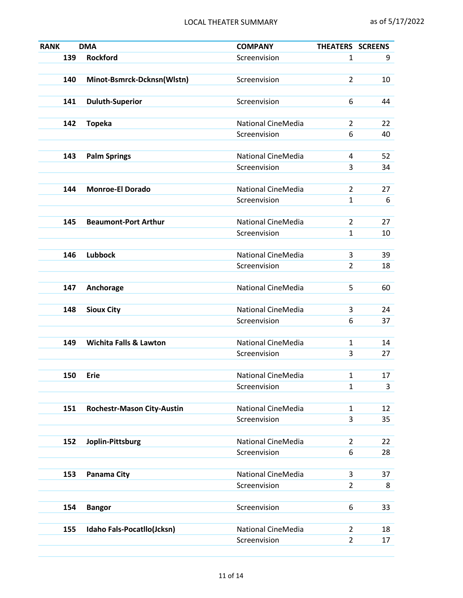| <b>RANK</b> |     | <b>DMA</b>                        | <b>COMPANY</b>            | THEATERS SCREENS |    |
|-------------|-----|-----------------------------------|---------------------------|------------------|----|
|             | 139 | <b>Rockford</b>                   | Screenvision              | $\mathbf{1}$     | 9  |
|             |     |                                   |                           |                  |    |
|             | 140 | Minot-Bsmrck-Dcknsn(Wlstn)        | Screenvision              | $\overline{2}$   | 10 |
|             |     |                                   |                           |                  |    |
|             | 141 | <b>Duluth-Superior</b>            | Screenvision              | 6                | 44 |
|             |     |                                   |                           |                  |    |
|             | 142 | <b>Topeka</b>                     | <b>National CineMedia</b> | $\overline{2}$   | 22 |
|             |     |                                   | Screenvision              | 6                | 40 |
|             |     |                                   |                           |                  |    |
|             | 143 | <b>Palm Springs</b>               | <b>National CineMedia</b> | 4                | 52 |
|             |     |                                   | Screenvision              | 3                | 34 |
|             | 144 | <b>Monroe-El Dorado</b>           | <b>National CineMedia</b> | $\overline{2}$   | 27 |
|             |     |                                   | Screenvision              | 1                | 6  |
|             |     |                                   |                           |                  |    |
|             | 145 | <b>Beaumont-Port Arthur</b>       | <b>National CineMedia</b> | $\overline{2}$   | 27 |
|             |     |                                   | Screenvision              | 1                | 10 |
|             |     |                                   |                           |                  |    |
|             | 146 | <b>Lubbock</b>                    | <b>National CineMedia</b> | 3                | 39 |
|             |     |                                   | Screenvision              | $\overline{2}$   | 18 |
|             |     |                                   |                           |                  |    |
|             | 147 | Anchorage                         | National CineMedia        | 5                | 60 |
|             |     |                                   |                           |                  |    |
|             | 148 | <b>Sioux City</b>                 | <b>National CineMedia</b> | 3                | 24 |
|             |     |                                   | Screenvision              | 6                | 37 |
|             |     |                                   |                           |                  |    |
|             | 149 | <b>Wichita Falls &amp; Lawton</b> | National CineMedia        | 1                | 14 |
|             |     |                                   | Screenvision              | 3                | 27 |
|             |     |                                   |                           |                  |    |
|             | 150 | <b>Erie</b>                       | National CineMedia        | 1                | 17 |
|             |     |                                   | Screenvision              | $\mathbf{1}$     | 3  |
|             |     |                                   |                           |                  |    |
|             | 151 | <b>Rochestr-Mason City-Austin</b> | National CineMedia        | $\mathbf{1}$     | 12 |
|             |     |                                   | Screenvision              | 3                | 35 |
|             | 152 | Joplin-Pittsburg                  | National CineMedia        | $\overline{2}$   | 22 |
|             |     |                                   | Screenvision              | 6                | 28 |
|             |     |                                   |                           |                  |    |
|             | 153 | <b>Panama City</b>                | National CineMedia        | 3                | 37 |
|             |     |                                   | Screenvision              | $\overline{2}$   | 8  |
|             |     |                                   |                           |                  |    |
|             | 154 | <b>Bangor</b>                     | Screenvision              | 6                | 33 |
|             |     |                                   |                           |                  |    |
|             | 155 | Idaho Fals-Pocatllo(Jcksn)        | National CineMedia        | $\overline{2}$   | 18 |
|             |     |                                   | Screenvision              | $\overline{2}$   | 17 |
|             |     |                                   |                           |                  |    |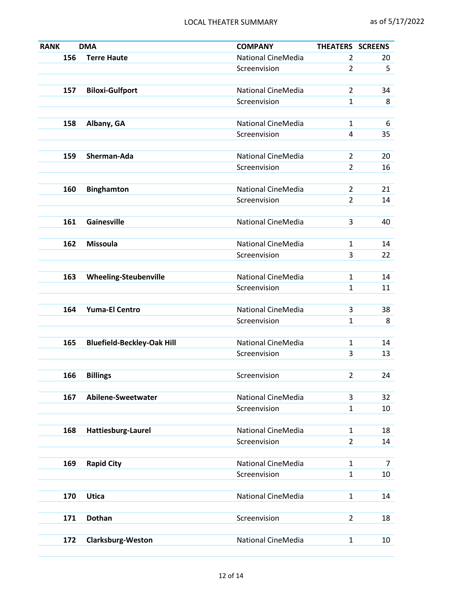| <b>RANK</b> |     | <b>DMA</b>                        | <b>COMPANY</b>                     | THEATERS SCREENS             |    |
|-------------|-----|-----------------------------------|------------------------------------|------------------------------|----|
|             | 156 | <b>Terre Haute</b>                | National CineMedia                 | $\overline{2}$               | 20 |
|             |     |                                   | Screenvision                       | $\overline{2}$               | 5  |
|             |     |                                   |                                    |                              |    |
|             | 157 | <b>Biloxi-Gulfport</b>            | <b>National CineMedia</b>          | $\overline{2}$               | 34 |
|             |     |                                   | Screenvision                       | $\mathbf{1}$                 | 8  |
|             |     |                                   |                                    |                              |    |
|             | 158 | Albany, GA                        | <b>National CineMedia</b>          | $\mathbf{1}$                 | 6  |
|             |     |                                   | Screenvision                       | 4                            | 35 |
|             |     |                                   |                                    |                              |    |
|             | 159 | Sherman-Ada                       | National CineMedia                 | $\overline{2}$               | 20 |
|             |     |                                   | Screenvision                       | $\overline{2}$               | 16 |
|             |     |                                   |                                    |                              |    |
|             | 160 | <b>Binghamton</b>                 | National CineMedia                 | $\overline{2}$               | 21 |
|             |     |                                   | Screenvision                       | $\overline{2}$               | 14 |
|             |     |                                   | National CineMedia                 |                              |    |
|             | 161 | Gainesville                       |                                    | 3                            | 40 |
|             | 162 | <b>Missoula</b>                   | National CineMedia                 | $\mathbf{1}$                 | 14 |
|             |     |                                   | Screenvision                       | 3                            | 22 |
|             |     |                                   |                                    |                              |    |
|             | 163 | <b>Wheeling-Steubenville</b>      | National CineMedia                 | 1                            | 14 |
|             |     |                                   | Screenvision                       | $\mathbf{1}$                 | 11 |
|             |     |                                   |                                    |                              |    |
|             | 164 | <b>Yuma-El Centro</b>             | <b>National CineMedia</b>          | 3                            | 38 |
|             |     |                                   | Screenvision                       | $\mathbf{1}$                 | 8  |
|             |     |                                   |                                    |                              |    |
|             | 165 | <b>Bluefield-Beckley-Oak Hill</b> | National CineMedia                 | $\mathbf{1}$                 | 14 |
|             |     |                                   | Screenvision                       | 3                            | 13 |
|             |     |                                   |                                    |                              |    |
|             | 166 | <b>Billings</b>                   | Screenvision                       | $\overline{2}$               | 24 |
|             |     |                                   |                                    |                              |    |
|             | 167 | Abilene-Sweetwater                | National CineMedia                 | 3                            | 32 |
|             |     |                                   | Screenvision                       | $\mathbf{1}$                 | 10 |
|             |     |                                   |                                    |                              |    |
|             | 168 | Hattiesburg-Laurel                | National CineMedia                 | $\mathbf{1}$                 | 18 |
|             |     |                                   | Screenvision                       | $\overline{2}$               | 14 |
|             |     |                                   |                                    |                              |    |
|             | 169 | <b>Rapid City</b>                 | National CineMedia<br>Screenvision | $\mathbf{1}$<br>$\mathbf{1}$ | 7  |
|             |     |                                   |                                    |                              | 10 |
|             | 170 | <b>Utica</b>                      | National CineMedia                 | $\mathbf{1}$                 | 14 |
|             |     |                                   |                                    |                              |    |
|             | 171 | <b>Dothan</b>                     | Screenvision                       | $\overline{2}$               | 18 |
|             |     |                                   |                                    |                              |    |
|             | 172 | <b>Clarksburg-Weston</b>          | National CineMedia                 | $\mathbf{1}$                 | 10 |
|             |     |                                   |                                    |                              |    |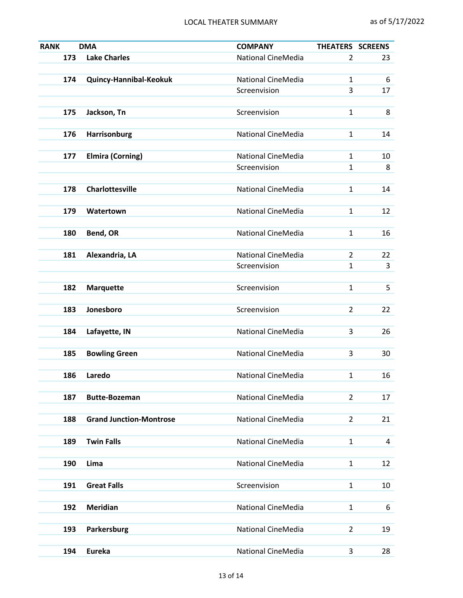| <b>RANK</b> |     | <b>DMA</b>                     | <b>COMPANY</b>            | THEATERS SCREENS |    |
|-------------|-----|--------------------------------|---------------------------|------------------|----|
|             | 173 | <b>Lake Charles</b>            | <b>National CineMedia</b> | 2                | 23 |
|             |     |                                |                           |                  |    |
|             | 174 | Quincy-Hannibal-Keokuk         | National CineMedia        | $\mathbf{1}$     | 6  |
|             |     |                                | Screenvision              | 3                | 17 |
|             |     |                                |                           |                  |    |
|             | 175 | Jackson, Tn                    | Screenvision              | $\mathbf{1}$     | 8  |
|             |     |                                |                           |                  |    |
|             | 176 | Harrisonburg                   | <b>National CineMedia</b> | $\mathbf{1}$     | 14 |
|             |     |                                |                           |                  |    |
|             | 177 | <b>Elmira (Corning)</b>        | <b>National CineMedia</b> | 1                | 10 |
|             |     |                                | Screenvision              | 1                | 8  |
|             |     |                                | <b>National CineMedia</b> |                  |    |
|             | 178 | Charlottesville                |                           | $\mathbf{1}$     | 14 |
|             | 179 | Watertown                      | <b>National CineMedia</b> | $\mathbf{1}$     | 12 |
|             |     |                                |                           |                  |    |
|             | 180 | Bend, OR                       | <b>National CineMedia</b> | $\mathbf{1}$     | 16 |
|             |     |                                |                           |                  |    |
|             | 181 | Alexandria, LA                 | <b>National CineMedia</b> | $\overline{2}$   | 22 |
|             |     |                                | Screenvision              | 1                | 3  |
|             |     |                                |                           |                  |    |
|             | 182 | <b>Marquette</b>               | Screenvision              | $\mathbf{1}$     | 5  |
|             |     |                                |                           |                  |    |
|             | 183 | Jonesboro                      | Screenvision              | $\overline{2}$   | 22 |
|             |     |                                |                           |                  |    |
|             | 184 | Lafayette, IN                  | <b>National CineMedia</b> | 3                | 26 |
|             |     |                                |                           |                  |    |
|             | 185 | <b>Bowling Green</b>           | <b>National CineMedia</b> | 3                | 30 |
|             |     |                                |                           |                  |    |
|             | 186 | Laredo                         | National CineMedia        | 1                | 16 |
|             |     |                                |                           |                  |    |
|             | 187 | <b>Butte-Bozeman</b>           | <b>National CineMedia</b> | $\overline{2}$   | 17 |
|             |     |                                |                           |                  |    |
|             | 188 | <b>Grand Junction-Montrose</b> | National CineMedia        | $\overline{2}$   | 21 |
|             |     |                                |                           |                  |    |
|             | 189 | <b>Twin Falls</b>              | <b>National CineMedia</b> | $\mathbf{1}$     | 4  |
|             |     |                                |                           |                  |    |
|             | 190 | Lima                           | National CineMedia        | $\mathbf{1}$     | 12 |
|             |     |                                |                           |                  |    |
|             | 191 | <b>Great Falls</b>             | Screenvision              | $\mathbf{1}$     | 10 |
|             | 192 | <b>Meridian</b>                | National CineMedia        | $\mathbf{1}$     |    |
|             |     |                                |                           |                  | 6  |
|             | 193 | Parkersburg                    | <b>National CineMedia</b> | $\overline{2}$   | 19 |
|             |     |                                |                           |                  |    |
|             | 194 | <b>Eureka</b>                  | National CineMedia        | 3                | 28 |
|             |     |                                |                           |                  |    |